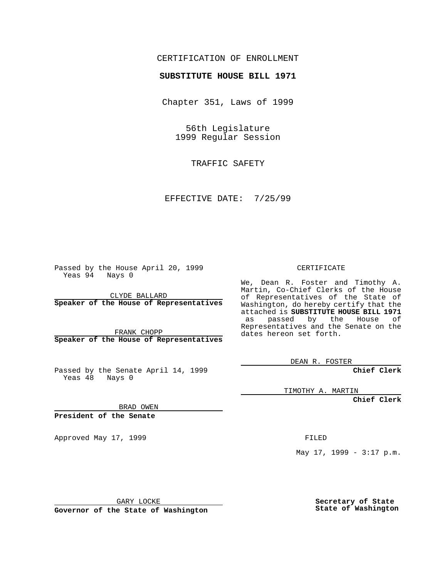### CERTIFICATION OF ENROLLMENT

# **SUBSTITUTE HOUSE BILL 1971**

Chapter 351, Laws of 1999

56th Legislature 1999 Regular Session

TRAFFIC SAFETY

EFFECTIVE DATE: 7/25/99

Passed by the House April 20, 1999 Yeas 94 Nays 0

CLYDE BALLARD **Speaker of the House of Representatives**

FRANK CHOPP **Speaker of the House of Representatives**

Passed by the Senate April 14, 1999 Yeas 48 Nays 0

CERTIFICATE

We, Dean R. Foster and Timothy A. Martin, Co-Chief Clerks of the House of Representatives of the State of Washington, do hereby certify that the attached is **SUBSTITUTE HOUSE BILL 1971** as passed by the House of Representatives and the Senate on the dates hereon set forth.

DEAN R. FOSTER

**Chief Clerk**

TIMOTHY A. MARTIN

**Chief Clerk**

BRAD OWEN

**President of the Senate**

Approved May 17, 1999 **FILED** 

May 17, 1999 - 3:17 p.m.

GARY LOCKE

**Governor of the State of Washington**

**Secretary of State State of Washington**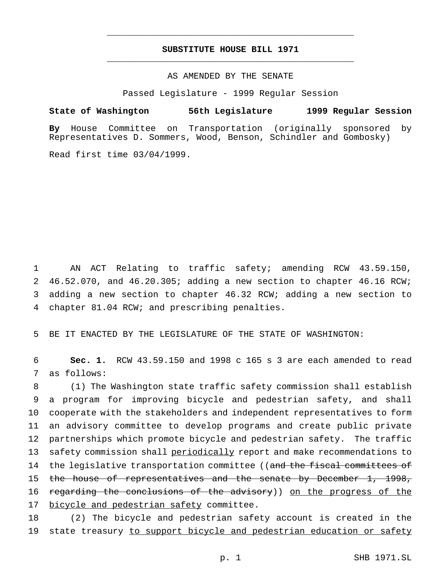## **SUBSTITUTE HOUSE BILL 1971** \_\_\_\_\_\_\_\_\_\_\_\_\_\_\_\_\_\_\_\_\_\_\_\_\_\_\_\_\_\_\_\_\_\_\_\_\_\_\_\_\_\_\_\_\_\_\_

\_\_\_\_\_\_\_\_\_\_\_\_\_\_\_\_\_\_\_\_\_\_\_\_\_\_\_\_\_\_\_\_\_\_\_\_\_\_\_\_\_\_\_\_\_\_\_

## AS AMENDED BY THE SENATE

Passed Legislature - 1999 Regular Session

#### **State of Washington 56th Legislature 1999 Regular Session**

**By** House Committee on Transportation (originally sponsored by Representatives D. Sommers, Wood, Benson, Schindler and Gombosky)

Read first time 03/04/1999.

 AN ACT Relating to traffic safety; amending RCW 43.59.150, 46.52.070, and 46.20.305; adding a new section to chapter 46.16 RCW; adding a new section to chapter 46.32 RCW; adding a new section to chapter 81.04 RCW; and prescribing penalties.

5 BE IT ENACTED BY THE LEGISLATURE OF THE STATE OF WASHINGTON:

6 **Sec. 1.** RCW 43.59.150 and 1998 c 165 s 3 are each amended to read 7 as follows:

8 (1) The Washington state traffic safety commission shall establish 9 a program for improving bicycle and pedestrian safety, and shall 10 cooperate with the stakeholders and independent representatives to form 11 an advisory committee to develop programs and create public private 12 partnerships which promote bicycle and pedestrian safety. The traffic 13 safety commission shall periodically report and make recommendations to 14 the legislative transportation committee ((and the fiscal committees of 15 the house of representatives and the senate by December 1, 1998, 16 regarding the conclusions of the advisory)) on the progress of the 17 bicycle and pedestrian safety committee.

18 (2) The bicycle and pedestrian safety account is created in the 19 state treasury to support bicycle and pedestrian education or safety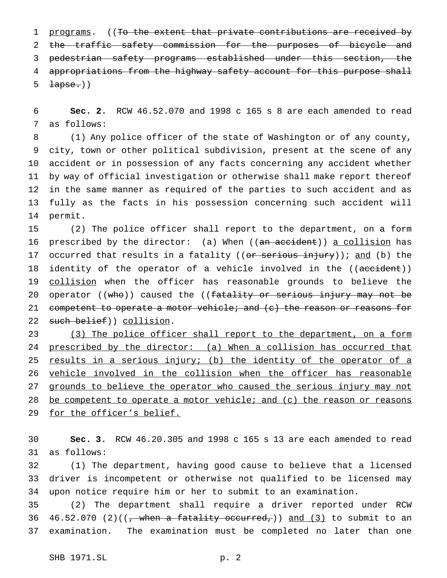1 programs. ((To the extent that private contributions are received by 2 the traffic safety commission for the purposes of bicycle and pedestrian safety programs established under this section, the appropriations from the highway safety account for this purpose shall  $\text{Lapse.}()$ 

 **Sec. 2.** RCW 46.52.070 and 1998 c 165 s 8 are each amended to read as follows:

 (1) Any police officer of the state of Washington or of any county, city, town or other political subdivision, present at the scene of any accident or in possession of any facts concerning any accident whether by way of official investigation or otherwise shall make report thereof in the same manner as required of the parties to such accident and as fully as the facts in his possession concerning such accident will permit.

 (2) The police officer shall report to the department, on a form 16 prescribed by the director: (a) When ((an accident)) a collision has 17 occurred that results in a fatality ((or serious injury)); and (b) the 18 identity of the operator of a vehicle involved in the ((accident)) 19 collision when the officer has reasonable grounds to believe the 20 operator ((who)) caused the ((fatality or serious injury may not be 21 competent to operate a motor vehicle; and (c) the reason or reasons for such belief)) collision.

23 (3) The police officer shall report to the department, on a form 24 prescribed by the director: (a) When a collision has occurred that 25 results in a serious injury; (b) the identity of the operator of a vehicle involved in the collision when the officer has reasonable 27 grounds to believe the operator who caused the serious injury may not be competent to operate a motor vehicle; and (c) the reason or reasons 29 for the officer's belief.

 **Sec. 3.** RCW 46.20.305 and 1998 c 165 s 13 are each amended to read as follows:

 (1) The department, having good cause to believe that a licensed driver is incompetent or otherwise not qualified to be licensed may upon notice require him or her to submit to an examination.

 (2) The department shall require a driver reported under RCW 36 46.52.070 (2)(( $\frac{1}{100}$ , when a fatality occurred,)) and (3) to submit to an examination. The examination must be completed no later than one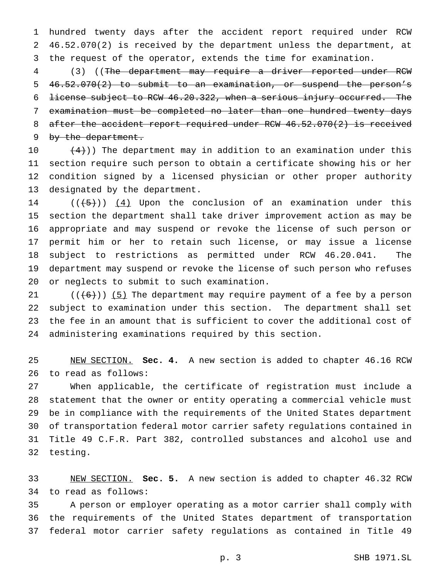hundred twenty days after the accident report required under RCW 46.52.070(2) is received by the department unless the department, at the request of the operator, extends the time for examination.

 (3) ((The department may require a driver reported under RCW 46.52.070(2) to submit to an examination, or suspend the person's license subject to RCW 46.20.322, when a serious injury occurred. The examination must be completed no later than one hundred twenty days after the accident report required under RCW 46.52.070(2) is received 9 by the department.

 $(4)$ )) The department may in addition to an examination under this section require such person to obtain a certificate showing his or her condition signed by a licensed physician or other proper authority designated by the department.

 $((+5))$   $(4)$  Upon the conclusion of an examination under this section the department shall take driver improvement action as may be appropriate and may suspend or revoke the license of such person or permit him or her to retain such license, or may issue a license subject to restrictions as permitted under RCW 46.20.041. The department may suspend or revoke the license of such person who refuses or neglects to submit to such examination.

 $((+6))$  (5) The department may require payment of a fee by a person subject to examination under this section. The department shall set the fee in an amount that is sufficient to cover the additional cost of administering examinations required by this section.

 NEW SECTION. **Sec. 4.** A new section is added to chapter 46.16 RCW to read as follows:

 When applicable, the certificate of registration must include a statement that the owner or entity operating a commercial vehicle must be in compliance with the requirements of the United States department of transportation federal motor carrier safety regulations contained in Title 49 C.F.R. Part 382, controlled substances and alcohol use and testing.

 NEW SECTION. **Sec. 5.** A new section is added to chapter 46.32 RCW to read as follows:

 A person or employer operating as a motor carrier shall comply with the requirements of the United States department of transportation federal motor carrier safety regulations as contained in Title 49